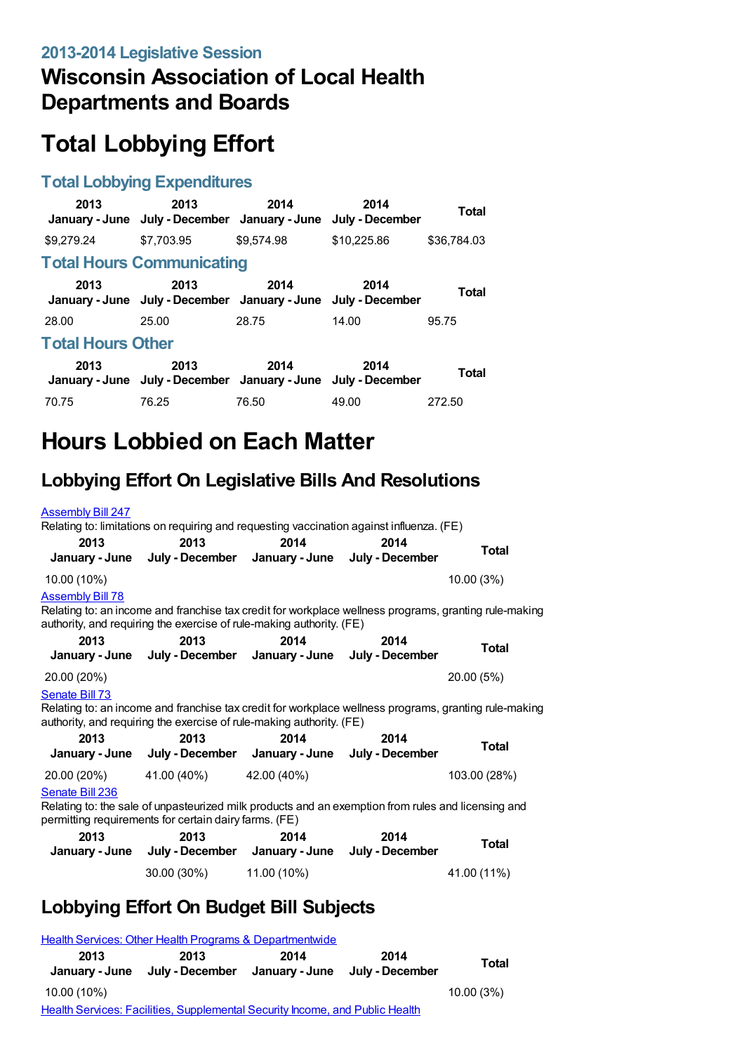## **Wisconsin Association of Local Health Departments and Boards**

# **Total Lobbying Effort**

#### **Total Lobbying Expenditures**

| 2013                     | 2013<br>January - June July - December January - June July - December | 2014       | 2014        | <b>Total</b> |  |
|--------------------------|-----------------------------------------------------------------------|------------|-------------|--------------|--|
| \$9.279.24               | \$7.703.95                                                            | \$9.574.98 | \$10,225.86 | \$36.784.03  |  |
|                          | <b>Total Hours Communicating</b>                                      |            |             |              |  |
| 2013                     | 2013<br>January - June July - December January - June July - December | 2014       | 2014        | Total        |  |
| 28.00                    | 25.00                                                                 | 28.75      | 14.00       | 95.75        |  |
| <b>Total Hours Other</b> |                                                                       |            |             |              |  |
| 2013                     | 2013<br>January - June July - December January - June July - December | 2014       | 2014        | <b>Total</b> |  |
| 70.75                    | 76.25                                                                 | 76.50      | 49.00       | 272.50       |  |

## **Hours Lobbied on Each Matter**

### **Lobbying Effort On Legislative Bills And Resolutions**

| <b>Assembly Bill 247</b><br>Relating to: limitations on requiring and requesting vaccination against influenza. (FE)                                                                            |                                                                                                                                                                               |      |      |              |  |
|-------------------------------------------------------------------------------------------------------------------------------------------------------------------------------------------------|-------------------------------------------------------------------------------------------------------------------------------------------------------------------------------|------|------|--------------|--|
| 2013                                                                                                                                                                                            | 2013<br>January - June July - December January - June July - December                                                                                                         | 2014 | 2014 | <b>Total</b> |  |
| 10.00 (10%)                                                                                                                                                                                     |                                                                                                                                                                               |      |      | 10.00 (3%)   |  |
| <b>Assembly Bill 78</b>                                                                                                                                                                         |                                                                                                                                                                               |      |      |              |  |
|                                                                                                                                                                                                 | Relating to: an income and franchise tax credit for workplace wellness programs, granting rule-making<br>authority, and requiring the exercise of rule-making authority. (FE) |      |      |              |  |
| 2013                                                                                                                                                                                            | 2013<br>January - June July - December January - June July - December                                                                                                         | 2014 | 2014 | <b>Total</b> |  |
| 20.00 (20%)                                                                                                                                                                                     |                                                                                                                                                                               |      |      | 20.00 (5%)   |  |
| Senate Bill 73<br>Relating to: an income and franchise tax credit for workplace wellness programs, granting rule-making<br>authority, and requiring the exercise of rule-making authority. (FE) |                                                                                                                                                                               |      |      |              |  |
| 2013                                                                                                                                                                                            | 2013<br>January - June July - December January - June July - December                                                                                                         | 2014 | 2014 | Total        |  |
| 20.00 (20%)                                                                                                                                                                                     | 41.00 (40%) 42.00 (40%)                                                                                                                                                       |      |      | 103.00 (28%) |  |
| Senate Bill 236<br>Relating to: the sale of unpasteurized milk products and an exemption from rules and licensing and<br>permitting requirements for certain dairy farms. (FE)                  |                                                                                                                                                                               |      |      |              |  |
| 2013                                                                                                                                                                                            | 2013                                                                                                                                                                          | 2014 | 2014 | Total        |  |
|                                                                                                                                                                                                 | January - June July - December January - June July - December                                                                                                                 |      |      |              |  |
|                                                                                                                                                                                                 | 30.00 (30%) 11.00 (10%)                                                                                                                                                       |      |      | 41.00 (11%)  |  |

#### **Lobbying Effort On Budget Bill Subjects**

|                                                                              | Health Services: Other Health Programs & Departmentwide |                        |                         |           |
|------------------------------------------------------------------------------|---------------------------------------------------------|------------------------|-------------------------|-----------|
| 2013<br>January - June                                                       | 2013<br>July - December                                 | 2014<br>January - June | 2014<br>July - December | Total     |
| 10.00 (10%)                                                                  |                                                         |                        |                         | 10.00(3%) |
| Health Services: Facilities, Supplemental Security Income, and Public Health |                                                         |                        |                         |           |